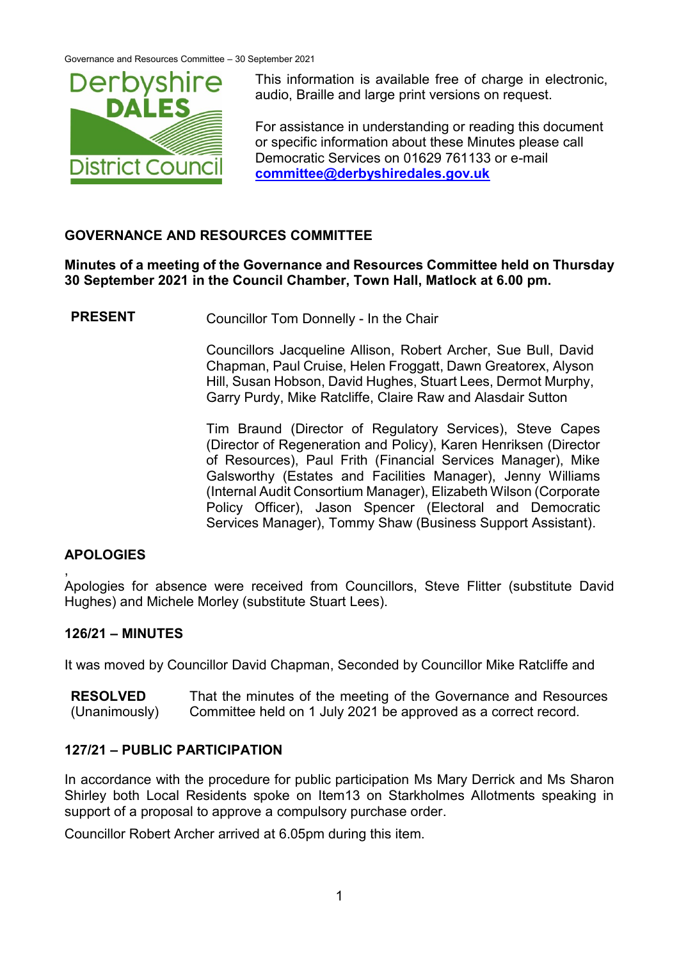

This information is available free of charge in electronic, audio, Braille and large print versions on request.

For assistance in understanding or reading this document or specific information about these Minutes please call Democratic Services on 01629 761133 or e-mail **[committee@derbyshiredales.gov.uk](mailto:committee@derbyshiredales.gov.uk)**

## **GOVERNANCE AND RESOURCES COMMITTEE**

**Minutes of a meeting of the Governance and Resources Committee held on Thursday 30 September 2021 in the Council Chamber, Town Hall, Matlock at 6.00 pm.**

**PRESENT** Councillor Tom Donnelly - In the Chair

Councillors Jacqueline Allison, Robert Archer, Sue Bull, David Chapman, Paul Cruise, Helen Froggatt, Dawn Greatorex, Alyson Hill, Susan Hobson, David Hughes, Stuart Lees, Dermot Murphy, Garry Purdy, Mike Ratcliffe, Claire Raw and Alasdair Sutton

Tim Braund (Director of Regulatory Services), Steve Capes (Director of Regeneration and Policy), Karen Henriksen (Director of Resources), Paul Frith (Financial Services Manager), Mike Galsworthy (Estates and Facilities Manager), Jenny Williams (Internal Audit Consortium Manager), Elizabeth Wilson (Corporate Policy Officer), Jason Spencer (Electoral and Democratic Services Manager), Tommy Shaw (Business Support Assistant).

# **APOLOGIES**

, Apologies for absence were received from Councillors, Steve Flitter (substitute David Hughes) and Michele Morley (substitute Stuart Lees).

## **126/21 – MINUTES**

It was moved by Councillor David Chapman, Seconded by Councillor Mike Ratcliffe and

**RESOLVED** (Unanimously) That the minutes of the meeting of the Governance and Resources Committee held on 1 July 2021 be approved as a correct record.

## **127/21 – PUBLIC PARTICIPATION**

In accordance with the procedure for public participation Ms Mary Derrick and Ms Sharon Shirley both Local Residents spoke on Item13 on Starkholmes Allotments speaking in support of a proposal to approve a compulsory purchase order.

Councillor Robert Archer arrived at 6.05pm during this item.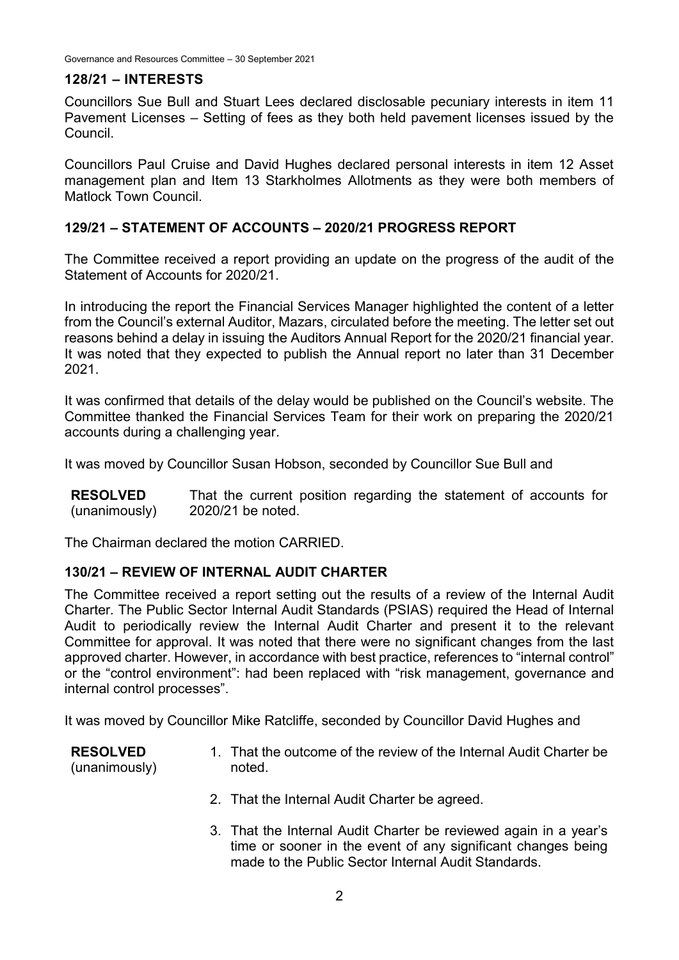#### **128/21 – INTERESTS**

Councillors Sue Bull and Stuart Lees declared disclosable pecuniary interests in item 11 Pavement Licenses – Setting of fees as they both held pavement licenses issued by the Council.

Councillors Paul Cruise and David Hughes declared personal interests in item 12 Asset management plan and Item 13 Starkholmes Allotments as they were both members of Matlock Town Council.

## **129/21 – STATEMENT OF ACCOUNTS – 2020/21 PROGRESS REPORT**

The Committee received a report providing an update on the progress of the audit of the Statement of Accounts for 2020/21.

In introducing the report the Financial Services Manager highlighted the content of a letter from the Council's external Auditor, Mazars, circulated before the meeting. The letter set out reasons behind a delay in issuing the Auditors Annual Report for the 2020/21 financial year. It was noted that they expected to publish the Annual report no later than 31 December 2021.

It was confirmed that details of the delay would be published on the Council's website. The Committee thanked the Financial Services Team for their work on preparing the 2020/21 accounts during a challenging year.

It was moved by Councillor Susan Hobson, seconded by Councillor Sue Bull and

**RESOLVED** (unanimously) That the current position regarding the statement of accounts for 2020/21 be noted.

The Chairman declared the motion CARRIED.

## **130/21 – REVIEW OF INTERNAL AUDIT CHARTER**

The Committee received a report setting out the results of a review of the Internal Audit Charter*.* The Public Sector Internal Audit Standards (PSIAS) required the Head of Internal Audit to periodically review the Internal Audit Charter and present it to the relevant Committee for approval. It was noted that there were no significant changes from the last approved charter. However, in accordance with best practice, references to "internal control" or the "control environment": had been replaced with "risk management, governance and internal control processes".

It was moved by Councillor Mike Ratcliffe, seconded by Councillor David Hughes and

- **RESOLVED** (unanimously) 1. That the outcome of the review of the Internal Audit Charter be noted.
	- 2. That the Internal Audit Charter be agreed.
	- 3. That the Internal Audit Charter be reviewed again in a year's time or sooner in the event of any significant changes being made to the Public Sector Internal Audit Standards.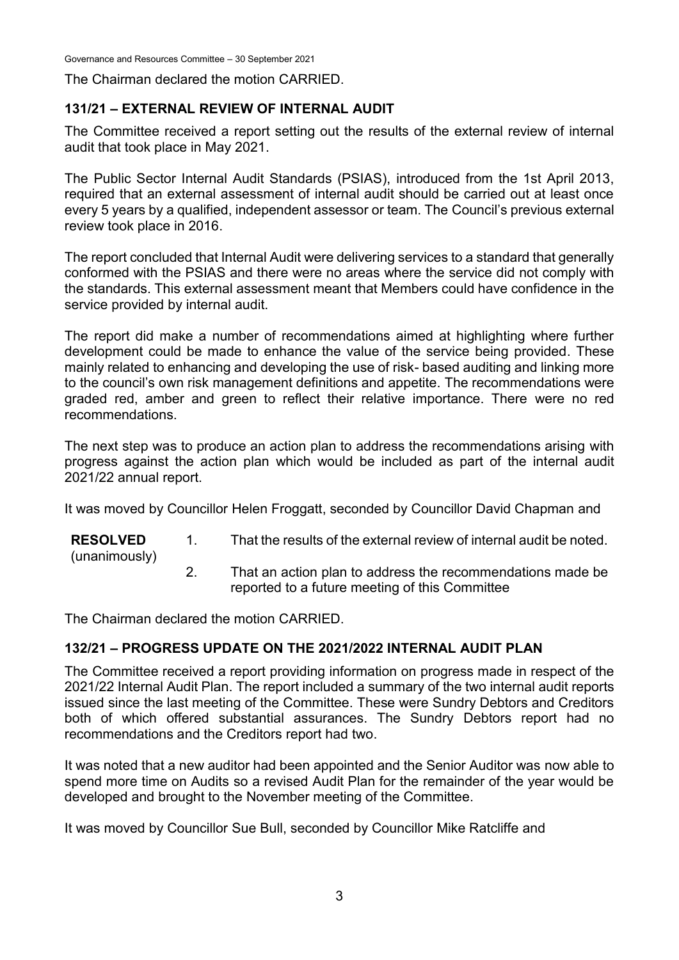The Chairman declared the motion CARRIED.

## **131/21 – EXTERNAL REVIEW OF INTERNAL AUDIT**

The Committee received a report setting out the results of the external review of internal audit that took place in May 2021.

The Public Sector Internal Audit Standards (PSIAS), introduced from the 1st April 2013, required that an external assessment of internal audit should be carried out at least once every 5 years by a qualified, independent assessor or team. The Council's previous external review took place in 2016.

The report concluded that Internal Audit were delivering services to a standard that generally conformed with the PSIAS and there were no areas where the service did not comply with the standards. This external assessment meant that Members could have confidence in the service provided by internal audit.

The report did make a number of recommendations aimed at highlighting where further development could be made to enhance the value of the service being provided. These mainly related to enhancing and developing the use of risk- based auditing and linking more to the council's own risk management definitions and appetite. The recommendations were graded red, amber and green to reflect their relative importance. There were no red recommendations.

The next step was to produce an action plan to address the recommendations arising with progress against the action plan which would be included as part of the internal audit 2021/22 annual report.

It was moved by Councillor Helen Froggatt, seconded by Councillor David Chapman and

**RESOLVED** (unanimously) 1. That the results of the external review of internal audit be noted. 2. That an action plan to address the recommendations made be reported to a future meeting of this Committee

The Chairman declared the motion CARRIED.

# **132/21 – PROGRESS UPDATE ON THE 2021/2022 INTERNAL AUDIT PLAN**

The Committee received a report providing information on progress made in respect of the 2021/22 Internal Audit Plan. The report included a summary of the two internal audit reports issued since the last meeting of the Committee. These were Sundry Debtors and Creditors both of which offered substantial assurances. The Sundry Debtors report had no recommendations and the Creditors report had two.

It was noted that a new auditor had been appointed and the Senior Auditor was now able to spend more time on Audits so a revised Audit Plan for the remainder of the year would be developed and brought to the November meeting of the Committee.

It was moved by Councillor Sue Bull, seconded by Councillor Mike Ratcliffe and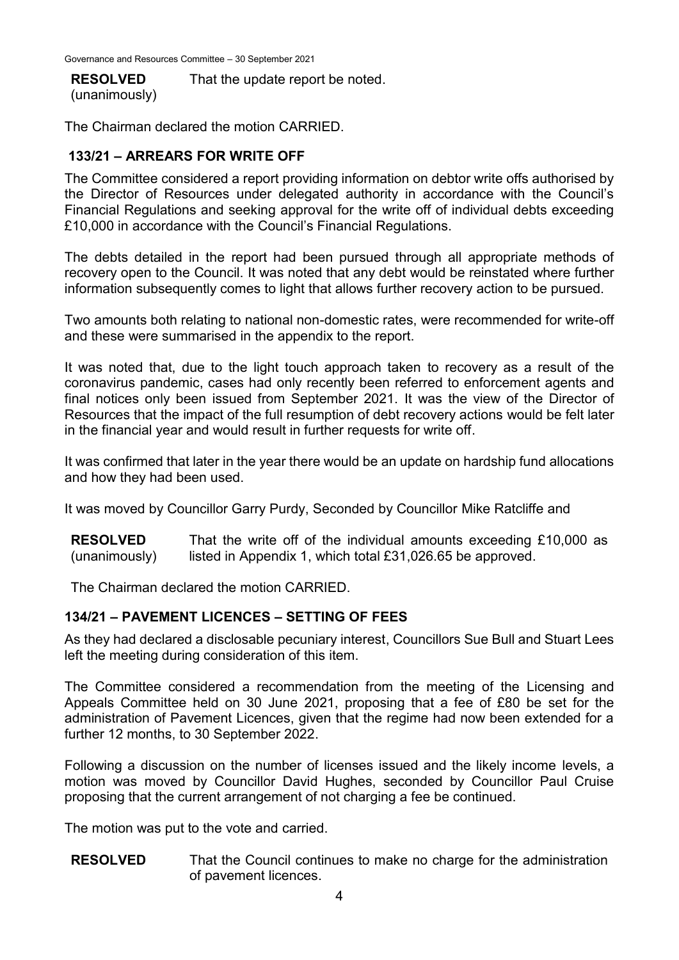#### **RESOLVED**

That the update report be noted.

(unanimously)

The Chairman declared the motion CARRIED.

## **133/21 – ARREARS FOR WRITE OFF**

The Committee considered a report providing information on debtor write offs authorised by the Director of Resources under delegated authority in accordance with the Council's Financial Regulations and seeking approval for the write off of individual debts exceeding £10,000 in accordance with the Council's Financial Regulations.

The debts detailed in the report had been pursued through all appropriate methods of recovery open to the Council. It was noted that any debt would be reinstated where further information subsequently comes to light that allows further recovery action to be pursued.

Two amounts both relating to national non-domestic rates, were recommended for write-off and these were summarised in the appendix to the report.

It was noted that, due to the light touch approach taken to recovery as a result of the coronavirus pandemic, cases had only recently been referred to enforcement agents and final notices only been issued from September 2021. It was the view of the Director of Resources that the impact of the full resumption of debt recovery actions would be felt later in the financial year and would result in further requests for write off.

It was confirmed that later in the year there would be an update on hardship fund allocations and how they had been used.

It was moved by Councillor Garry Purdy, Seconded by Councillor Mike Ratcliffe and

**RESOLVED** (unanimously) That the write off of the individual amounts exceeding £10,000 as listed in Appendix 1, which total £31,026.65 be approved.

The Chairman declared the motion CARRIED.

## **134/21 – PAVEMENT LICENCES – SETTING OF FEES**

As they had declared a disclosable pecuniary interest, Councillors Sue Bull and Stuart Lees left the meeting during consideration of this item.

The Committee considered a recommendation from the meeting of the Licensing and Appeals Committee held on 30 June 2021, proposing that a fee of £80 be set for the administration of Pavement Licences, given that the regime had now been extended for a further 12 months, to 30 September 2022.

Following a discussion on the number of licenses issued and the likely income levels, a motion was moved by Councillor David Hughes, seconded by Councillor Paul Cruise proposing that the current arrangement of not charging a fee be continued.

The motion was put to the vote and carried.

**RESOLVED** That the Council continues to make no charge for the administration of pavement licences.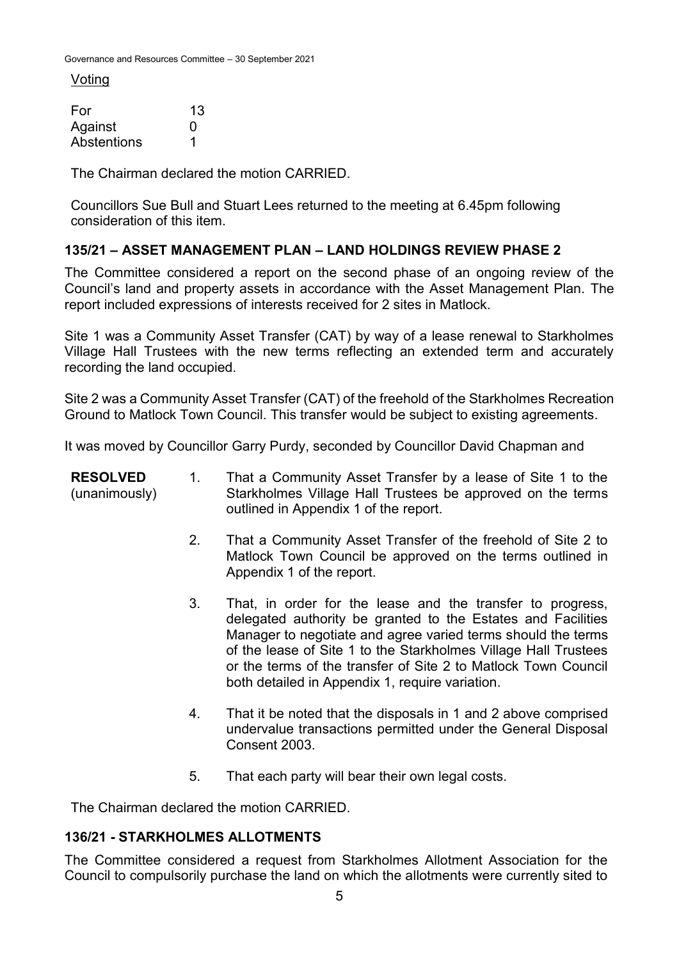Voting

| For         | 13 |
|-------------|----|
| Against     | O  |
| Abstentions |    |

The Chairman declared the motion CARRIED.

Councillors Sue Bull and Stuart Lees returned to the meeting at 6.45pm following consideration of this item.

# **135/21 – ASSET MANAGEMENT PLAN – LAND HOLDINGS REVIEW PHASE 2**

The Committee considered a report on the second phase of an ongoing review of the Council's land and property assets in accordance with the Asset Management Plan. The report included expressions of interests received for 2 sites in Matlock.

Site 1 was a Community Asset Transfer (CAT) by way of a lease renewal to Starkholmes Village Hall Trustees with the new terms reflecting an extended term and accurately recording the land occupied.

Site 2 was a Community Asset Transfer (CAT) of the freehold of the Starkholmes Recreation Ground to Matlock Town Council. This transfer would be subject to existing agreements.

It was moved by Councillor Garry Purdy, seconded by Councillor David Chapman and

| <b>RESOLVED</b><br>(unanimously) | 1. | That a Community Asset Transfer by a lease of Site 1 to the<br>Starkholmes Village Hall Trustees be approved on the terms<br>outlined in Appendix 1 of the report.                                                                                                                                                                                                                 |
|----------------------------------|----|------------------------------------------------------------------------------------------------------------------------------------------------------------------------------------------------------------------------------------------------------------------------------------------------------------------------------------------------------------------------------------|
|                                  | 2. | That a Community Asset Transfer of the freehold of Site 2 to<br>Matlock Town Council be approved on the terms outlined in<br>Appendix 1 of the report.                                                                                                                                                                                                                             |
|                                  | 3. | That, in order for the lease and the transfer to progress,<br>delegated authority be granted to the Estates and Facilities<br>Manager to negotiate and agree varied terms should the terms<br>of the lease of Site 1 to the Starkholmes Village Hall Trustees<br>or the terms of the transfer of Site 2 to Matlock Town Council<br>both detailed in Appendix 1, require variation. |
|                                  | 4. | That it be noted that the disposals in 1 and 2 above comprised<br>undervalue transactions permitted under the General Disposal<br>Consent 2003.                                                                                                                                                                                                                                    |
|                                  | 5. | That each party will bear their own legal costs.                                                                                                                                                                                                                                                                                                                                   |

The Chairman declared the motion CARRIED.

## **136/21 - STARKHOLMES ALLOTMENTS**

The Committee considered a request from Starkholmes Allotment Association for the Council to compulsorily purchase the land on which the allotments were currently sited to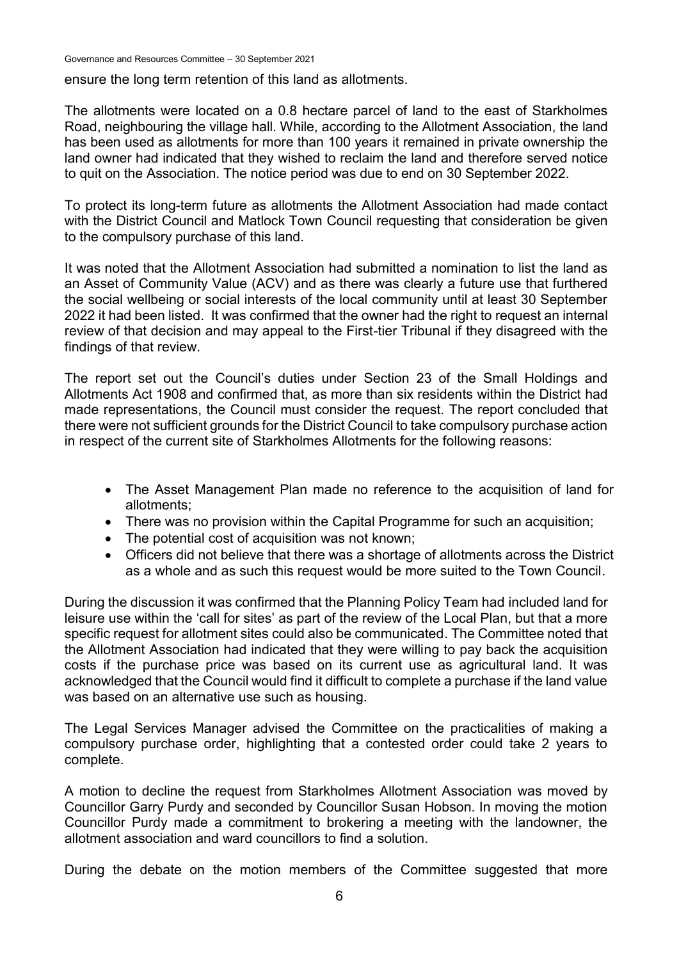Governance and Resources Committee – 30 September 2021

ensure the long term retention of this land as allotments.

The allotments were located on a 0.8 hectare parcel of land to the east of Starkholmes Road, neighbouring the village hall. While, according to the Allotment Association, the land has been used as allotments for more than 100 years it remained in private ownership the land owner had indicated that they wished to reclaim the land and therefore served notice to quit on the Association. The notice period was due to end on 30 September 2022.

To protect its long-term future as allotments the Allotment Association had made contact with the District Council and Matlock Town Council requesting that consideration be given to the compulsory purchase of this land.

It was noted that the Allotment Association had submitted a nomination to list the land as an Asset of Community Value (ACV) and as there was clearly a future use that furthered the social wellbeing or social interests of the local community until at least 30 September 2022 it had been listed. It was confirmed that the owner had the right to request an internal review of that decision and may appeal to the First-tier Tribunal if they disagreed with the findings of that review.

The report set out the Council's duties under Section 23 of the Small Holdings and Allotments Act 1908 and confirmed that, as more than six residents within the District had made representations, the Council must consider the request. The report concluded that there were not sufficient grounds for the District Council to take compulsory purchase action in respect of the current site of Starkholmes Allotments for the following reasons:

- The Asset Management Plan made no reference to the acquisition of land for allotments;
- There was no provision within the Capital Programme for such an acquisition;
- The potential cost of acquisition was not known:
- Officers did not believe that there was a shortage of allotments across the District as a whole and as such this request would be more suited to the Town Council.

During the discussion it was confirmed that the Planning Policy Team had included land for leisure use within the 'call for sites' as part of the review of the Local Plan, but that a more specific request for allotment sites could also be communicated. The Committee noted that the Allotment Association had indicated that they were willing to pay back the acquisition costs if the purchase price was based on its current use as agricultural land. It was acknowledged that the Council would find it difficult to complete a purchase if the land value was based on an alternative use such as housing.

The Legal Services Manager advised the Committee on the practicalities of making a compulsory purchase order, highlighting that a contested order could take 2 years to complete.

A motion to decline the request from Starkholmes Allotment Association was moved by Councillor Garry Purdy and seconded by Councillor Susan Hobson. In moving the motion Councillor Purdy made a commitment to brokering a meeting with the landowner, the allotment association and ward councillors to find a solution.

During the debate on the motion members of the Committee suggested that more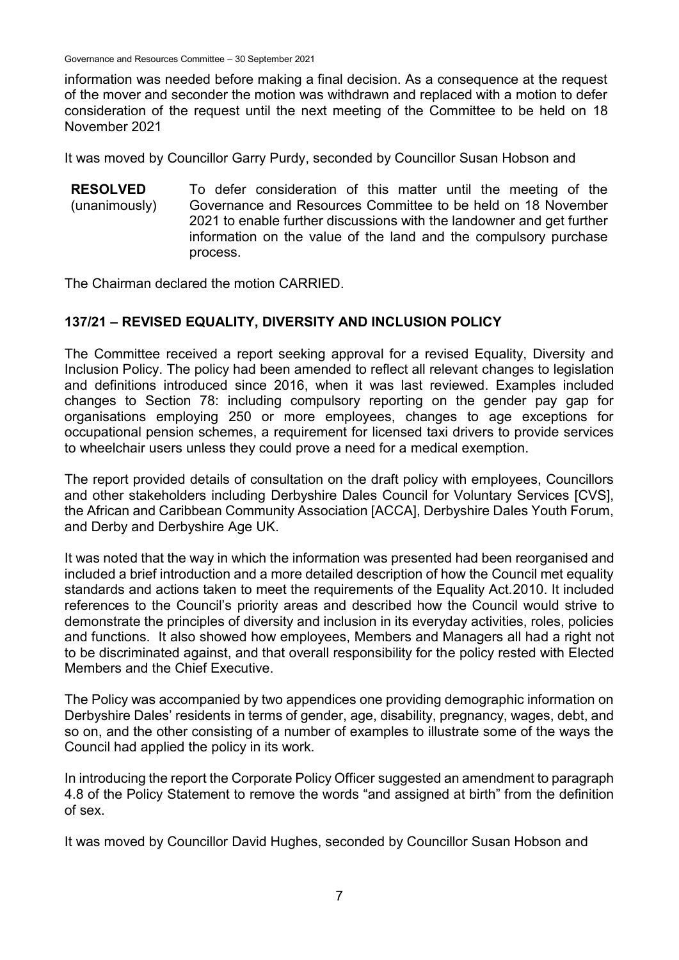Governance and Resources Committee – 30 September 2021

information was needed before making a final decision. As a consequence at the request of the mover and seconder the motion was withdrawn and replaced with a motion to defer consideration of the request until the next meeting of the Committee to be held on 18 November 2021

It was moved by Councillor Garry Purdy, seconded by Councillor Susan Hobson and

**RESOLVED** (unanimously) To defer consideration of this matter until the meeting of the Governance and Resources Committee to be held on 18 November 2021 to enable further discussions with the landowner and get further information on the value of the land and the compulsory purchase process.

The Chairman declared the motion CARRIED.

## **137/21 – REVISED EQUALITY, DIVERSITY AND INCLUSION POLICY**

The Committee received a report seeking approval for a revised Equality, Diversity and Inclusion Policy. The policy had been amended to reflect all relevant changes to legislation and definitions introduced since 2016, when it was last reviewed. Examples included changes to Section 78: including compulsory reporting on the gender pay gap for organisations employing 250 or more employees, changes to age exceptions for occupational pension schemes, a requirement for licensed taxi drivers to provide services to wheelchair users unless they could prove a need for a medical exemption.

The report provided details of consultation on the draft policy with employees, Councillors and other stakeholders including Derbyshire Dales Council for Voluntary Services [CVS], the African and Caribbean Community Association [ACCA], Derbyshire Dales Youth Forum, and Derby and Derbyshire Age UK.

It was noted that the way in which the information was presented had been reorganised and included a brief introduction and a more detailed description of how the Council met equality standards and actions taken to meet the requirements of the Equality Act.2010. It included references to the Council's priority areas and described how the Council would strive to demonstrate the principles of diversity and inclusion in its everyday activities, roles, policies and functions. It also showed how employees, Members and Managers all had a right not to be discriminated against, and that overall responsibility for the policy rested with Elected Members and the Chief Executive.

The Policy was accompanied by two appendices one providing demographic information on Derbyshire Dales' residents in terms of gender, age, disability, pregnancy, wages, debt, and so on, and the other consisting of a number of examples to illustrate some of the ways the Council had applied the policy in its work.

In introducing the report the Corporate Policy Officer suggested an amendment to paragraph 4.8 of the Policy Statement to remove the words "and assigned at birth" from the definition of sex.

It was moved by Councillor David Hughes, seconded by Councillor Susan Hobson and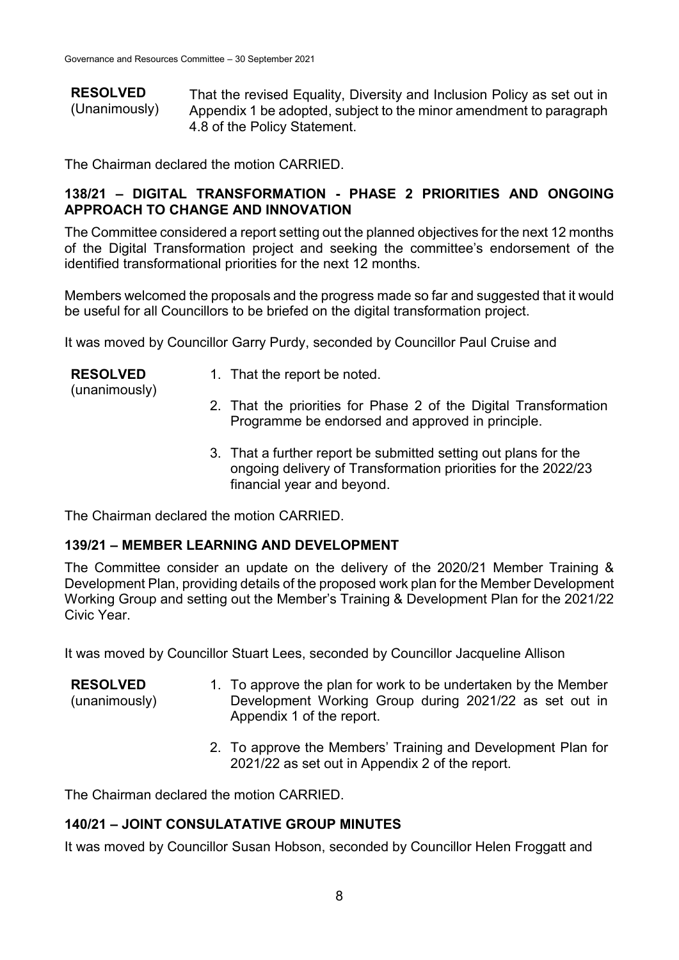**RESOLVED** (Unanimously) That the revised Equality, Diversity and Inclusion Policy as set out in Appendix 1 be adopted, subject to the minor amendment to paragraph 4.8 of the Policy Statement.

The Chairman declared the motion CARRIED.

## **138/21 – DIGITAL TRANSFORMATION - PHASE 2 PRIORITIES AND ONGOING APPROACH TO CHANGE AND INNOVATION**

The Committee considered a report setting out the planned objectives for the next 12 months of the Digital Transformation project and seeking the committee's endorsement of the identified transformational priorities for the next 12 months.

Members welcomed the proposals and the progress made so far and suggested that it would be useful for all Councillors to be briefed on the digital transformation project.

It was moved by Councillor Garry Purdy, seconded by Councillor Paul Cruise and

| <b>RESOLVED</b> | 1. That the report be noted. |
|-----------------|------------------------------|
| (unanimously)   |                              |

- 2. That the priorities for Phase 2 of the Digital Transformation Programme be endorsed and approved in principle.
- 3. That a further report be submitted setting out plans for the ongoing delivery of Transformation priorities for the 2022/23 financial year and beyond.

The Chairman declared the motion CARRIED.

## **139/21 – MEMBER LEARNING AND DEVELOPMENT**

The Committee consider an update on the delivery of the 2020/21 Member Training & Development Plan, providing details of the proposed work plan for the Member Development Working Group and setting out the Member's Training & Development Plan for the 2021/22 Civic Year.

It was moved by Councillor Stuart Lees, seconded by Councillor Jacqueline Allison

**RESOLVED** (unanimously) 1. To approve the plan for work to be undertaken by the Member Development Working Group during 2021/22 as set out in Appendix 1 of the report.

> 2. To approve the Members' Training and Development Plan for 2021/22 as set out in Appendix 2 of the report.

The Chairman declared the motion CARRIED.

# **140/21 – JOINT CONSULATATIVE GROUP MINUTES**

It was moved by Councillor Susan Hobson, seconded by Councillor Helen Froggatt and